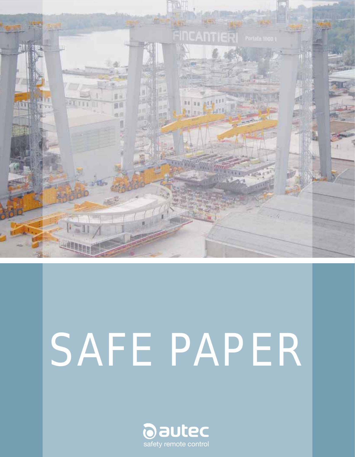

# SAFE PAPER

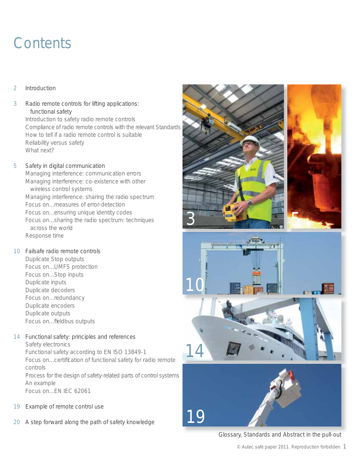# **Contents**

#### $\mathfrak{D}$ Introduction

- 3 Radio remote controls for lifting applications: functional safety Introduction to safety radio remote controls Compliance of radio remote controls with the relevant Standards How to tell if a radio remote control is suitable Reliability versus safety What next?
- 5 Safety in digital communication Managing interference: communication errors Managing interference: co-existence with other wireless control systems Managing interference: sharing the radio spectrum Focus on...measures of error-detection Focus on...ensuring unique identity codes Focus on...sharing the radio spectrum: techniques across the world Response time
- 10 Failsafe radio remote controls Duplicate Stop outputs Focus on...UMFS protection Focus on...Stop inputs Duplicate inputs Duplicate decoders Focus on...redundancy Duplicate encoders Duplicate outputs Focus on...fieldbus outputs
- 14 Functional safety: principles and references Safety electronics Functional safety according to EN ISO 13849-1 Focus on...certification of functional safety for radio remote controls Process for the design of safety-related parts of control systems An example Focus on...EN IEC 62061
- 19 Example of remote control use
- 20 A step forward along the path of safety knowledge





19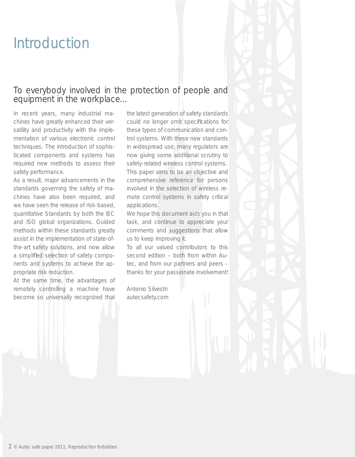# Introduction

## To everybody involved in the protection of people and equipment in the workplace...

In recent years, many industrial machines have greatly enhanced their versatility and productivity with the implementation of various electronic control techniques. The introduction of sophisticated components and systems has required new methods to assess their safety performance.

As a result, major advancements in the standards governing the safety of machines have also been required, and we have seen the release of risk-based, quantitative Standards by both the IEC and ISO global organizations. Guided methods within these standards greatly assist in the implementation of state-ofthe-art safety solutions, and now allow a simplified selection of safety components and systems to achieve the appropriate risk reduction.

At the same time, the advantages of remotely controlling a machine have become so universally recognized that the latest generation of safety standards could no longer omit specifications for these types of communication and control systems. With these new standards in widespread use, many regulators are now giving some additional scrutiny to safety-related wireless control systems. This paper aims to be an objective and comprehensive reference for persons involved in the selection of wireless remote control systems in safety critical applications.

We hope this document aids you in that task, and continue to appreciate your comments and suggestions that allow us to keep improving it.

To all our valued contributors to this second edition – both from within Autec, and from our partners and peers – thanks for your passionate involvement!

Antonio Silvestri autecsafety.com

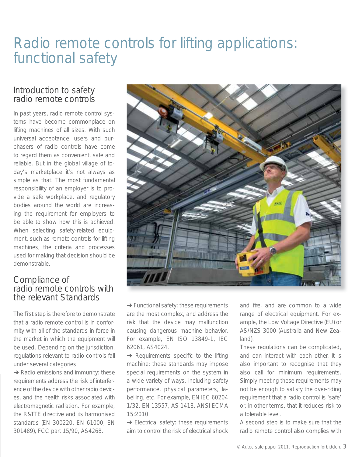# Radio remote controls for lifting applications: functional safety

## Introduction to safety radio remote controls

In past years, radio remote control systems have become commonplace on lifting machines of all sizes. With such universal acceptance, users and purchasers of radio controls have come to regard them as convenient, safe and reliable. But in the global village of today's marketplace it's not always as simple as that. The most fundamental responsibility of an employer is to provide a safe workplace, and regulatory bodies around the world are increasing the requirement for employers to be able to show how this is achieved. When selecting safety-related equipment, such as remote controls for lifting machines, the criteria and processes used for making that decision should be demonstrable.

## Compliance of radio remote controls with the relevant Standards

The first step is therefore to demonstrate that a radio remote control is in conformity with all of the standards in force in the market in which the equipment will be used. Depending on the jurisdiction, regulations relevant to radio controls fall under several categories:

**→ Radio emissions and immunity: these** requirements address the risk of interference of the device with other radio devices, and the health risks associated with electromagnetic radiation. For example, the R&TTE directive and its harmonised standards (EN 300220, EN 61000, EN 301489), FCC part 15/90, AS4268.



**→ Functional safety: these requirements** are the most complex, and address the risk that the device may malfunction causing dangerous machine behavior. For example, EN ISO 13849-1, IEC 62061, AS4024.

 $\rightarrow$  Requirements specific to the lifting machine: these standards may impose special requirements on the system in a wide variety of ways, including safety performance, physical parameters, labelling, etc. For example, EN IEC 60204 1/32, EN 13557, AS 1418, ANSI ECMA 15:2010.

→ Electrical safety: these requirements aim to control the risk of electrical shock

and fire, and are common to a wide range of electrical equipment. For example, the Low Voltage Directive (EU) or AS/NZS 3000 (Australia and New Zealand).

These regulations can be complicated, and can interact with each other. It is also important to recognise that they also call for *minimum* requirements. Simply meeting these requirements may not be enough to satisfy the over-riding requirement that a radio control is 'safe' or, in other terms, that it reduces risk to a tolerable level.

A second step is to make sure that the radio remote control also complies with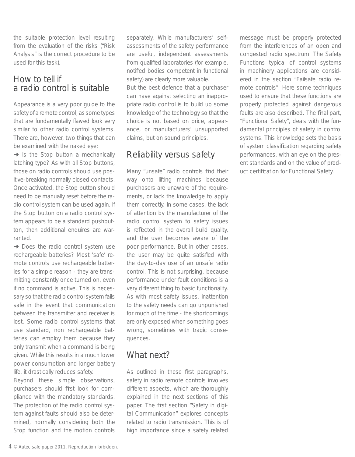the suitable protection level resulting from the evaluation of the risks ("Risk Analysis" is the correct procedure to be used for this task).

## How to tell if a radio control is suitable

Appearance is a very poor guide to the safety of a remote control, as some types that are fundamentally flawed look very similar to other radio control systems. There are, however, two things that can be examined with the naked eye:

 $\rightarrow$  Is the Stop button a mechanically latching type? As with all Stop buttons, those on radio controls should use positive-breaking normally closed contacts. Once activated, the Stop button should need to be manually reset before the radio control system can be used again. If the Stop button on a radio control system appears to be a standard pushbutton, then additional enquires are warranted.

**→** Does the radio control system use rechargeable batteries? Most 'safe' remote controls use rechargeable batteries for a simple reason - they are transmitting constantly once turned on, even if no command is active. This is necessary so that the radio control system fails safe in the event that communication between the transmitter and receiver is lost. Some radio control systems that use standard, non rechargeable batteries can employ them because they only transmit when a command is being given. While this results in a much lower power consumption and longer battery life, it drastically reduces safety.

Beyond these simple observations, purchasers should first look for compliance with the mandatory standards. The protection of the radio control system against faults should also be determined, normally considering both the Stop function and the motion controls separately. While manufacturers' selfassessments of the safety performance are useful, independent assessments from qualified laboratories (for example, notified bodies competent in functional safety) are clearly more valuable.

But the best defence that a purchaser can have against selecting an inappropriate radio control is to build up some knowledge of the technology so that the choice is not based on price, appearance, or manufacturers' unsupported claims, but on sound principles.

# Reliability versus safety

Many "unsafe" radio controls find their way onto lifting machines because purchasers are unaware of the requirements, or lack the knowledge to apply them correctly. In some cases, the lack of attention by the manufacturer of the radio control system to safety issues is reflected in the overall build quality, and the user becomes aware of the poor performance. But in other cases, the user may be quite satisfied with the day-to-day use of an unsafe radio control. This is not surprising, because performance under fault conditions is a very different thing to basic functionality. As with most safety issues, inattention to the safety needs can go unpunished for much of the time - the shortcomings are only exposed when something goes wrong, sometimes with tragic consequences.

# What next?

As outlined in these first paragraphs, safety in radio remote controls involves different aspects, which are thoroughly explained in the next sections of this paper. The first section "Safety in digital Communication" explores concepts related to radio transmission. This is of high importance since a safety related

message must be properly protected from the interferences of an open and congested radio spectrum. The Safety Functions typical of control systems in machinery applications are considered in the section "Failsafe radio remote controls". Here some techniques used to ensure that these functions are properly protected against dangerous faults are also described. The final part, "Functional Safety", deals with the fundamental principles of safety in control systems. This knowledge sets the basis of system classification regarding safety performances, with an eye on the present standards and on the value of product certification for Functional Safety.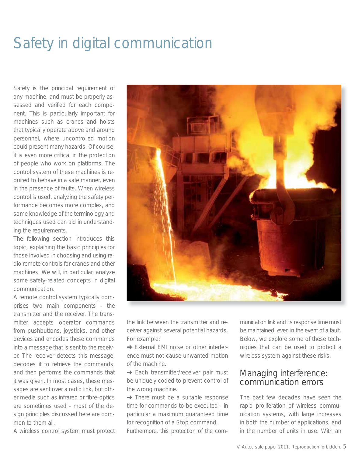# Safety in digital communication

Safety is the principal requirement of any machine, and must be properly assessed and verified for each component. This is particularly important for machines such as cranes and hoists that typically operate above and around personnel, where uncontrolled motion could present many hazards. Of course, it is even more critical in the protection of people who work on platforms. The control system of these machines is required to behave in a safe manner, even in the presence of faults. When wireless control is used, analyzing the safety performance becomes more complex, and some knowledge of the terminology and techniques used can aid in understanding the requirements.

The following section introduces this topic, explaining the basic principles for those involved in choosing and using radio remote controls for cranes and other machines. We will, in particular, analyze some safety-related concepts in digital communication.

A remote control system typically comprises two main components - the transmitter and the receiver. The transmitter accepts operator commands from pushbuttons, joysticks, and other devices and encodes these commands into a message that is sent to the receiver. The receiver detects this message, decodes it to retrieve the commands, and then performs the commands that it was given. In most cases, these messages are sent over a radio link, but other media such as infrared or fibre-optics are sometimes used - most of the design principles discussed here are common to them all.

A wireless control system must protect



the link between the transmitter and receiver against several potential hazards. For example:

**→ External EMI noise or other interfer**ence must not cause unwanted motion of the machine.

→ Each transmitter/receiver pair must be uniquely coded to prevent control of the wrong machine.

 $\rightarrow$  There must be a suitable response time for commands to be executed - in particular a maximum guaranteed time for recognition of a Stop command. Furthermore, this protection of the com-

munication link and its response time must be maintained, even in the event of a fault. Below, we explore some of these techniques that can be used to protect a wireless system against these risks.

# Managing interference: communication errors

The past few decades have seen the rapid proliferation of wireless communication systems, with large increases in both the number of applications, and in the number of units in use. With an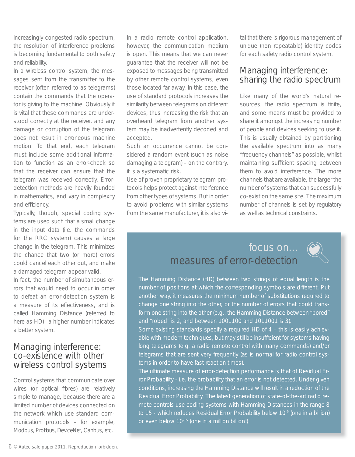increasingly congested radio spectrum, the resolution of interference problems is becoming fundamental to both safety and reliability.

In a wireless control system, the messages sent from the transmitter to the receiver (often referred to as telegrams) contain the commands that the operator is giving to the machine. Obviously it is vital that these commands are understood correctly at the receiver, and any damage or corruption of the telegram does not result in erroneous machine motion. To that end, each telegram must include some additional information to function as an error-check so that the receiver can ensure that the telegram was received correctly. Errordetection methods are heavily founded in mathematics, and vary in complexity and efficiency.

Typically, though, special coding systems are used such that a small change in the input data (i.e. the commands for the RRC system) causes a large change in the telegram. This minimizes the chance that two (or more) errors could cancel each other out, and make a damaged telegram appear valid.

In fact, the number of simultaneous errors that would need to occur in order to defeat an error-detection system is a measure of its effectiveness, and is called Hamming Distance (referred to here as HD)– a higher number indicates a better system.

## Managing interference: co-existence with other wireless control systems

Control systems that communicate over wires (or optical fibres) are relatively simple to manage, because there are a limited number of devices connected on the network which use standard communication protocols - for example, Modbus, Profibus, DeviceNet, Canbus, etc.

In a radio remote control application, however, the communication medium is open. This means that we can never guarantee that the receiver will not be exposed to messages being transmitted by other remote control systems, even those located far away. In this case, the use of standard protocols increases the similarity between telegrams on different devices, thus increasing the risk that an overheard telegram from another system may be inadvertently decoded and accepted.

Such an occurrence cannot be considered a random event (such as noise damaging a telegram) – on the contrary, it is a systematic risk.

Use of proven proprietary telegram protocols helps protect against interference from other types of systems. But in order to avoid problems with similar systems from the same manufacturer, it is also vi-

tal that there is rigorous management of unique (non repeatable) identity codes for each safety radio control system.

## Managing interference: sharing the radio spectrum

Like many of the world's natural resources, the radio spectrum is finite, and some means must be provided to share it amongst the increasing number of people and devices seeking to use it. This is usually obtained by partitioning the available spectrum into as many "frequency channels" as possible, whilst maintaining sufficient spacing between them to avoid interference. The more channels that are available, the larger the number of systems that can successfully co-exist on the same site. The maximum number of channels is set by regulatory as well as technical constraints.

# focus on... measures of error-detection



The Hamming Distance (HD) between two strings of equal length is the number of positions at which the corresponding symbols are different. Put another way, it measures the minimum number of substitutions required to change one string into the other, or the number of errors that could transform one string into the other (e.g.: the Hamming Distance between "bored" and "robed" is 2, and between 1001100 and 1011001 is 3).

Some existing standards specify a required HD of 4 – this is easily achievable with modern techniques, but may still be insufficient for systems having long telegrams (e.g. a radio remote control with many commands) and/or telegrams that are sent very frequently (as is normal for radio control systems in order to have fast reaction times).

The ultimate measure of error-detection performance is that of Residual Error Probability - i.e. the probability that an error is not detected. Under given conditions, increasing the Hamming Distance will result in a reduction of the Residual Error Probability. The latest generation of state-of-the-art radio remote controls use coding systems with Hamming Distances in the range 8 to 15 - which reduces Residual Error Probability below 10<sup>-9</sup> (one in a billion) or even below 10-15 (one in a million billion!)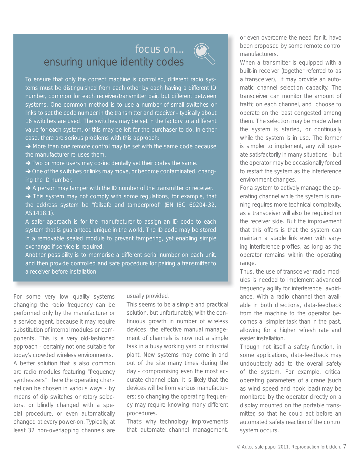# focus on... ( ensuring unique identity codes



To ensure that only the correct machine is controlled, different radio systems must be distinguished from each other by each having a different ID number, common for each receiver/transmitter pair, but different between systems. One common method is to use a number of small switches or links to set the code number in the transmitter and receiver - typically about 16 switches are used. The switches may be set in the factory to a different value for each system, or this may be left for the purchaser to do. In either case, there are serious problems with this approach:

- → More than one remote control may be set with the same code because the manufacturer re-uses them.
- → Two or more users may co-incidentally set their codes the same.
- **→** One of the switches or links may move, or become contaminated, changing the ID number.
- **→** A person may tamper with the ID number of the transmitter or receiver.
- → This system may not comply with some regulations, for example, that the address system be "failsafe and tamperproof" (EN IEC 60204-32, AS1418.1).
- A safer approach is for the manufacturer to assign an ID code to each system that is guaranteed unique in the world. The ID code may be stored in a removable sealed module to prevent tampering, yet enabling simple exchange if service is required.

Another possibility is to memorise a different serial number on each unit, and then provide controlled and safe procedure for pairing a transmitter to a receiver before installation.

For some very low quality systems changing the radio frequency can be performed only by the manufacturer or a service agent, because it may require substitution of internal modules or components. This is a very old-fashioned approach - certainly not one suitable for today's crowded wireless environments. A better solution that is also common are radio modules featuring "frequency synthesizers": here the operating channel can be chosen in various ways - by means of dip switches or rotary selectors, or blindly changed with a special procedure, or even automatically changed at every power-on. Typically, at least 32 non-overlapping channels are usually provided.

This seems to be a simple and practical solution, but unfortunately, with the continuous growth in number of wireless devices, the effective manual management of channels is now not a simple task in a busy working yard or industrial plant. New systems may come in and out of the site many times during the day - compromising even the most accurate channel plan. It is likely that the devices will be from various manufacturers; so changing the operating frequency may require knowing many different procedures.

That's why technology improvements that automate channel management,

or even overcome the need for it, have been proposed by some remote control manufacturers.

When a transmitter is equipped with a built-in receiver (together referred to as a *transceiver*), it may provide an *automatic channel selection* capacity. The transceiver can monitor the amount of traffic on each channel, and choose to operate on the least congested among them. The selection may be made when the system is started, or continually while the system is in use. The former is simpler to implement, any will operate satisfactorily in many situations - but the operator may be occasionally forced to restart the system as the interference environment changes.

For a system to actively manage the operating channel while the system is running requires more technical complexity, as a transceiver will also be required on the receiver side. But the improvement that this offers is that the system can maintain a stable link even with varying interference profiles, as long as the operator remains within the operating range.

Thus, the use of transceiver radio modules is needed to implement advanced frequency agility for interference avoidance. With a radio channel then available in both directions, data-feedback from the machine to the operator becomes a simpler task than in the past, allowing for a higher refresh rate and easier installation.

Though not itself a safety function, in some applications, data-feedback may undoubtedly add to the overall safety of the system. For example, critical operating parameters of a crane (such as wind speed and hook load) may be monitored by the operator directly on a display mounted on the portable transmitter, so that he could act before an automated safety reaction of the control system occurs.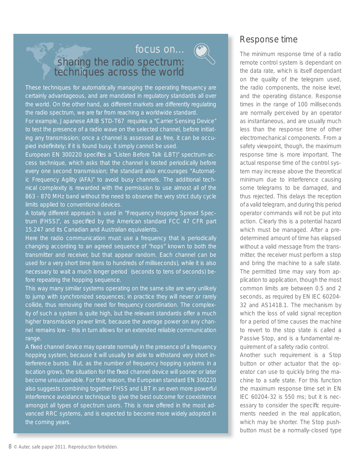# focus on... ( sharing the radio spectrum: techniques across the world



These techniques for automatically managing the operating frequency are certainly advantageous, and are mandated in regulatory standards all over the world. On the other hand, as different markets are differently regulating the radio spectrum, we are far from reaching a worldwide standard.

For example, Japanese ARIB STD-T67 requires a "Carrier Sensing Device" to test the presence of a radio wave on the selected channel, before initiating any transmission; once a channel is assessed as free, it can be occupied indefinitely; if it is found busy, it simply cannot be used.

European EN 300220 specifies a "Listen Before Talk (LBT)" spectrum-access technique, which asks that the channel is tested periodically before every one second transmission; the standard also encourages "Automatic Frequency Agility (AFA)" to avoid busy channels. The additional technical complexity is rewarded with the permission to use almost all of the 863 - 870 MHz band without the need to observe the very strict duty cycle limits applied to conventional devices.

A totally different approach is used in "Frequency Hopping Spread Spectrum (FHSS)", as specified by the American standard FCC 47 CFR part 15.247 and its Canadian and Australian equivalents.

Here the radio communication must use a frequency that is periodically changing according to an agreed sequence of "hops" known to both the transmitter and receiver, but that appear random. Each channel can be used for a very short time (tens to hundreds of milliseconds), while it is also necessary to wait a much longer period (seconds to tens of seconds) before repeating the hopping sequence.

This way many similar systems operating on the same site are very unlikely to jump with synchronized sequences; in practice they will never or rarely collide, thus removing the need for frequency coordination. The complexity of such a system is quite high, but the relevant standards offer a much higher transmission power limit, because the average power on any channel remains low – this in turn allows for an extended reliable communication range.

A fixed channel device may operate normally in the presence of a frequency hopping system, because it will usually be able to withstand very short interference bursts. But, as the number of frequency hopping systems in a location grows, the situation for the fixed channel device will sooner or later become unsustainable. For that reason, the European standard EN 300220 also suggests combining together FHSS and LBT in an even more powerful interference avoidance technique to give the best outcome for coexistence amongst all types of spectrum users. This is now offered in the most advanced RRC systems, and is expected to become more widely adopted in the coming years.

# Response time

The minimum response time of a radio remote control system is dependant on the data rate, which is itself dependant on the quality of the telegram used, the radio components, the noise level, and the operating distance. Response times in the range of 100 milliseconds are normally perceived by an operator as instantaneous, and are usually much less than the response time of other electromechanical components. From a safety viewpoint, though, the *maximum* response time is more important. The actual response time of the control system may increase above the theoretical minimum due to interference causing some telegrams to be damaged, and thus rejected. This delays the reception of a valid telegram, and during this period operator commands will not be put into action. Clearly this is a potential hazard which must be managed. After a predetermined amount of time has elapsed without a valid message from the transmitter, the receiver must perform a stop and bring the machine to a safe state. The permitted time may vary from application to application, though the most common limits are between 0.5 and 2 seconds, as required by EN IEC 60204- 32 and AS1418.1. The mechanism by which the loss of valid signal reception for a period of time causes the machine to revert to the stop state is called a Passive Stop, and is a fundamental requirement of a safety radio control.

Another such requirement is a Stop button or other actuator that the operator can use to quickly bring the machine to a safe state. For this function the maximum response time set in EN IEC 60204-32 is 550 ms; but it is necessary to consider the specific requirements needed in the real application, which may be shorter. The Stop pushbutton must be a normally-closed type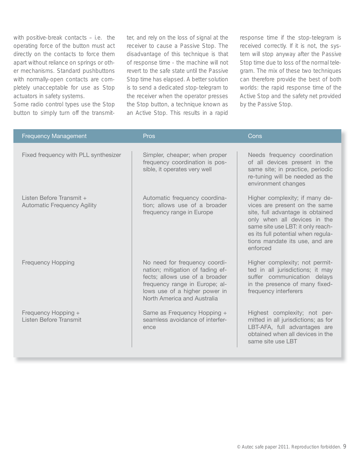with positive-break contacts – i.e. the operating force of the button must act directly on the contacts to force them apart without reliance on springs or other mechanisms. Standard pushbuttons with normally-open contacts are completely unacceptable for use as Stop actuators in safety systems.

Some radio control types use the Stop button to simply turn off the transmitter, and rely on the loss of signal at the receiver to cause a Passive Stop. The disadvantage of this technique is that of response time - the machine will not revert to the safe state until the Passive Stop time has elapsed. A better solution is to send a dedicated stop-telegram to the receiver when the operator presses the Stop button, a technique known as an Active Stop. This results in a rapid response time if the stop-telegram is received correctly. If it is not, the system will stop anyway after the Passive Stop time due to loss of the normal telegram. The mix of these two techniques can therefore provide the best of both worlds: the rapid response time of the Active Stop and the safety net provided by the Passive Stop.

| <b>Frequency Management</b>                                    | Pros                                                                                                                                                                                                  | Cons                                                                                                                                                                                                                                                         |
|----------------------------------------------------------------|-------------------------------------------------------------------------------------------------------------------------------------------------------------------------------------------------------|--------------------------------------------------------------------------------------------------------------------------------------------------------------------------------------------------------------------------------------------------------------|
| Fixed frequency with PLL synthesizer                           | Simpler, cheaper; when proper<br>frequency coordination is pos-<br>sible, it operates very well                                                                                                       | Needs frequency coordination<br>of all devices present in the<br>same site; in practice, periodic<br>re-tuning will be needed as the<br>environment changes                                                                                                  |
| Listen Before Transmit +<br><b>Automatic Frequency Agility</b> | Automatic frequency coordina-<br>tion; allows use of a broader<br>frequency range in Europe                                                                                                           | Higher complexity; if many de-<br>vices are present on the same<br>site, full advantage is obtained<br>only when all devices in the<br>same site use LBT: it only reach-<br>es its full potential when regula-<br>tions mandate its use, and are<br>enforced |
| <b>Frequency Hopping</b>                                       | No need for frequency coordi-<br>nation; mitigation of fading ef-<br>fects; allows use of a broader<br>frequency range in Europe; al-<br>lows use of a higher power in<br>North America and Australia | Higher complexity; not permit-<br>ted in all jurisdictions; it may<br>suffer communication delays<br>in the presence of many fixed-<br>frequency interferers                                                                                                 |
| Frequency Hopping +<br>Listen Before Transmit                  | Same as Frequency Hopping +<br>seamless avoidance of interfer-<br>ence                                                                                                                                | Highest complexity; not per-<br>mitted in all jurisdictions; as for<br>LBT-AFA, full advantages are<br>obtained when all devices in the<br>same site use LBT                                                                                                 |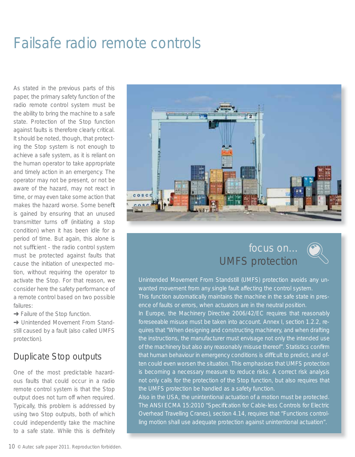# Failsafe radio remote controls

As stated in the previous parts of this paper, the primary safety function of the radio remote control system must be the ability to bring the machine to a safe state. Protection of the Stop function against faults is therefore clearly critical. It should be noted, though, that protecting the Stop system is not enough to achieve a safe system, as it is reliant on the human operator to take appropriate and timely action in an emergency. The operator may not be present, or not be aware of the hazard, may not react in time, or may even take some action that makes the hazard worse. Some benefit is gained by ensuring that an unused transmitter turns off (initiating a stop condition) when it has been idle for a period of time. But again, this alone is not sufficient - the radio control system must be protected against faults that cause the initiation of unexpected motion, without requiring the operator to activate the Stop. For that reason, we consider here the safety performance of a remote control based on two possible failures:

**→ Failure of the Stop function.** 

**→ Unintended Movement From Stand**still caused by a fault (also called UMFS protection).

# Duplicate Stop outputs

One of the most predictable hazardous faults that could occur in a radio remote control system is that the Stop output does not turn off when required. Typically, this problem is addressed by using two Stop outputs, both of which could independently take the machine to a safe state. While this is definitely



# focus on... UMFS protection



Unintended Movement From Standstill (UMFS) protection avoids any unwanted movement from any single fault affecting the control system. This function automatically maintains the machine in the safe state in presence of faults or errors, when actuators are in the neutral position.

In Europe, the Machinery Directive 2006/42/EC requires that reasonably foreseeable misuse must be taken into account. Annex I, section 1.2.2, requires that "When designing and constructing machinery, and when drafting the instructions, the manufacturer must envisage not only the intended use of the machinery but also any reasonably misuse thereof". Statistics confirm that human behaviour in emergency conditions is difficult to predict, and often could even worsen the situation. This emphasises that UMFS protection is becoming a necessary measure to reduce risks. A correct risk analysis not only calls for the protection of the Stop function, but also requires that the UMFS protection be handled as a safety function.

Also in the USA, the unintentional actuation of a motion must be protected. The ANSI ECMA 15:2010 "Specification for Cable-less Controls for Electric Overhead Travelling Cranes), section 4.14, requires that "Functions controlling motion shall use adequate protection against unintentional actuation".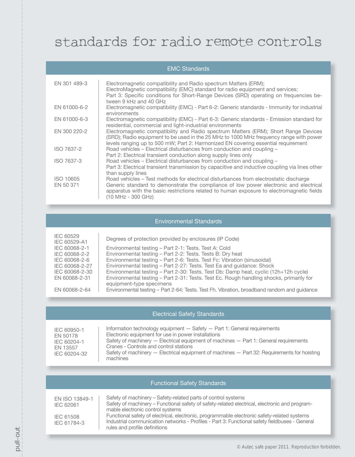# standards for radio remote controls

| <b>EMC Standards</b>   |                                                                                                                                                                                                                                                                                                   |  |
|------------------------|---------------------------------------------------------------------------------------------------------------------------------------------------------------------------------------------------------------------------------------------------------------------------------------------------|--|
| EN 301 489-3           | Electromagnetic compatibility and Radio spectrum Matters (ERM);<br>ElectroMagnetic compatibility (EMC) standard for radio equipment and services;<br>Part 3: Specific conditions for Short-Range Devices (SRD) operating on frequencies be-<br>tween 9 kHz and 40 GHz                             |  |
| EN 61000-6-2           | Electromagnetic compatibility (EMC) - Part 6-2: Generic standards - Immunity for industrial<br>environments                                                                                                                                                                                       |  |
| EN 61000-6-3           | Electromagnetic compatibility (EMC) - Part 6-3: Generic standards - Emission standard for<br>residential, commercial and light-industrial environments                                                                                                                                            |  |
| EN 300 220-2           | Electromagnetic compatibility and Radio spectrum Matters (ERM); Short Range Devices<br>(SRD); Radio equipment to be used in the 25 MHz to 1000 MHz frequency range with power<br>levels ranging up to 500 mW; Part 2: Harmonized EN covering essential requirement                                |  |
| ISO 7637-2             | Road vehicles – Electrical disturbances from conduction and coupling –<br>Part 2: Electrical transient conduction along supply lines only                                                                                                                                                         |  |
| ISO 7637-3             | Road vehicles – Electrical disturbances from conduction and coupling –<br>Part 3: Electrical transient transmission by capacitive and inductive coupling via lines other<br>than supply lines                                                                                                     |  |
| ISO 10605<br>EN 50 371 | Road vehicles – Test methods for electrical disturbances from electrostatic discharge<br>Generic standard to demonstrate the compliance of low power electronic and electrical<br>apparatus with the basic restrictions related to human exposure to electromagnetic fields<br>(10 MHz - 300 GHz) |  |

#### Environmental Standards

| IEC 60529<br>IEC 60529-A1 | Degrees of protection provided by enclosures (IP Code)                                      |
|---------------------------|---------------------------------------------------------------------------------------------|
| IEC 60068-2-1             | Environmental testing - Part 2-1: Tests. Test A: Cold                                       |
| IEC 60068-2-2             | Environmental testing - Part 2-2: Tests. Tests B: Dry heat                                  |
| IEC 60068-2-6             | Environmental testing – Part 2-6: Tests. Test Fc: Vibration (sinusoidal)                    |
| IEC 60068-2-27            | Environmental testing – Part 2-27: Tests. Test Ea and quidance: Shock                       |
| IEC 60068-2-30            | Environmental testing – Part 2-30: Tests. Test Db: Damp heat, cyclic (12h+12h cycle)        |
| EN 60068-2-31             | Environmental testing – Part 2-31: Tests. Test Ec. Rough handling shocks, primarily for     |
|                           | equipment-type specimens                                                                    |
| EN 60068-2-64             | Environmental testing – Part 2-64: Tests. Test Fh. Vibration, broadband random and guidance |

#### Electrical Safety Standards

| IEC 60950-1<br>EN 50178<br>IEC 60204-1<br>EN 13557<br>IEC 60204-32 | Information technology equipment $-$ Safety $-$ Part 1: General requirements<br>Electronic equipment for use in power installations<br>Safety of machinery — Electrical equipment of machines — Part 1: General requirements<br>Cranes - Controls and control stations<br>Safety of machinery — Electrical equipment of machines — Part 32: Requirements for hoisting<br>machines |
|--------------------------------------------------------------------|-----------------------------------------------------------------------------------------------------------------------------------------------------------------------------------------------------------------------------------------------------------------------------------------------------------------------------------------------------------------------------------|
|--------------------------------------------------------------------|-----------------------------------------------------------------------------------------------------------------------------------------------------------------------------------------------------------------------------------------------------------------------------------------------------------------------------------------------------------------------------------|

| EN ISO 13849-1 | Safety of machinery – Safety-related parts of control systems                                 |
|----------------|-----------------------------------------------------------------------------------------------|
| IEC 62061      | Safety of machinery – Functional safety of safety-related electrical, electronic and program- |
|                | mable electronic control systems                                                              |
| IEC 61508      | Functional safety of electrical, electronic, programmable electronic safety-related systems   |
| IEC 61784-3    | Industrial communication networks - Profiles - Part 3: Functional safety fieldbuses - General |
|                | rules and profile definitions                                                                 |

Functional Safety Standards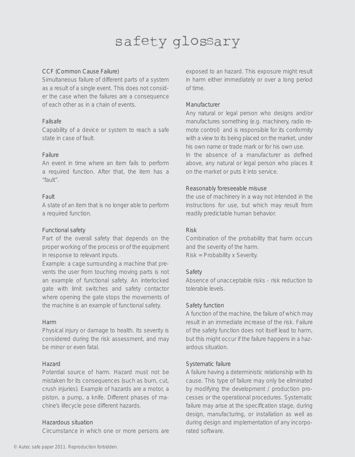# safety glossary

#### CCF (Common Cause Failure)

Simultaneous failure of different parts of a system as a result of a single event. This does not consider the case when the failures are a consequence of each other as in a chain of events.

#### Failsafe

Capability of a device or system to reach a safe state in case of fault.

#### Failure

An event in time where an item fails to perform a required function. After that, the item has a "fault"

#### Fault

A state of an item that is no longer able to perform a required function.

#### Functional safety

Part of the overall safety that depends on the proper working of the process or of the equipment in response to relevant inputs.

Example: a cage surrounding a machine that prevents the user from touching moving parts is not an example of functional safety. An interlocked gate with limit switches and safety contactor where opening the gate stops the movements of the machine is an example of functional safety.

#### Harm

Physical injury or damage to health. Its severity is considered during the risk assessment, and may be minor or even fatal.

#### Hazard

Potential source of harm. Hazard must not be mistaken for its consequences (such as burn, cut, crush injuries). Example of hazards are a motor, a piston, a pump, a knife. Different phases of machine's lifecycle pose different hazards.

#### Hazardous situation

Circumstance in which one or more persons are

exposed to an hazard. This exposure might result in harm either immediately or over a long period of time.

#### Manufacturer

Any natural or legal person who designs and/or manufactures something (e.g. machinery, radio remote control) and is responsible for its conformity with a view to its being placed on the market, under his own name or trade mark or for his own use.

In the absence of a manufacturer as defined above, any natural or legal person who places it on the market or puts it into service.

#### Reasonably foreseeable misuse

the use of machinery in a way not intended in the instructions for use, but which may result from readily predictable human behavior.

#### Risk

Combination of the probability that harm occurs and the severity of the harm. Risk = Probability x Severity.

#### Safety

Absence of unacceptable risks - risk reduction to tolerable levels.

#### Safety function

A function of the machine, the failure of which may result in an immediate increase of the risk. Failure of the safety function does not itself lead to harm, but this might occur if the failure happens in a hazardous situation.

#### Systematic failure

A failure having a deterministic relationship with its cause. This type of failure may only be eliminated by modifying the development / production processes or the operational procedures. Systematic failure may arise at the specification stage, during design, manufacturing, or installation as well as during design and implementation of any incorporated software.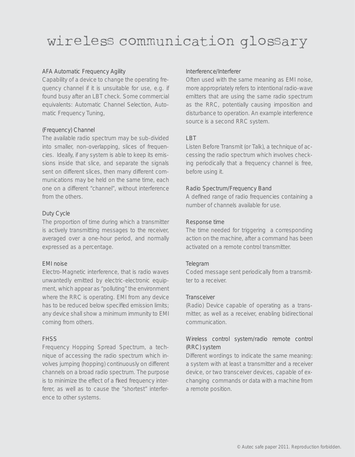# wireless communication glossary

#### AFA Automatic Frequency Agility

Capability of a device to change the operating frequency channel if it is unsuitable for use, e.g. if found busy after an LBT check. Some commercial equivalents: Automatic Channel Selection, Automatic Frequency Tuning,

#### (Frequency) Channel

The available radio spectrum may be sub-divided into smaller, non-overlapping, slices of frequencies. Ideally, if any system is able to keep its emissions inside that slice, and separate the signals sent on different slices, then many different communications may be held on the same time, each one on a different "channel", without interference from the others.

#### Duty Cycle

The proportion of time during which a transmitter is actively transmitting messages to the receiver, averaged over a one-hour period, and normally expressed as a percentage.

#### EMI noise

Electro-Magnetic interference, that is radio waves unwantedly emitted by electric-electronic equipment, which appear as "polluting" the environment where the RRC is operating. EMI from any device has to be reduced below specified emission limits; any device shall show a minimum immunity to EMI coming from others.

#### FHSS

Frequency Hopping Spread Spectrum, a technique of accessing the radio spectrum which involves jumping (hopping) continuously on different channels on a broad radio spectrum. The purpose is to minimize the effect of a fixed frequency interferer, as well as to cause the "shortest" interference to other systems.

#### Interference/Interferer

Often used with the same meaning as EMI noise, more appropriately refers to intentional radio-wave emitters that are using the same radio spectrum as the RRC, potentially causing imposition and disturbance to operation. An example interference source is a second RRC system.

#### **LBT**

Listen Before Transmit (or Talk), a technique of accessing the radio spectrum which involves checking periodically that a frequency channel is free, before using it.

#### Radio Spectrum/Frequency Band

A defined range of radio frequencies containing a number of channels available for use.

#### Response time

The time needed for triggering a corresponding action on the machine, after a command has been activated on a remote control transmitter.

#### Telegram

Coded message sent periodically from a transmitter to a receiver.

#### **Transceiver**

(Radio) Device capable of operating as a transmitter, as well as a receiver, enabling bidirectional communication.

#### Wireless control system/radio remote control (RRC) system

Different wordings to indicate the same meaning: a system with at least a transmitter and a receiver device, or two transceiver devices, capable of exchanging commands or data with a machine from a remote position.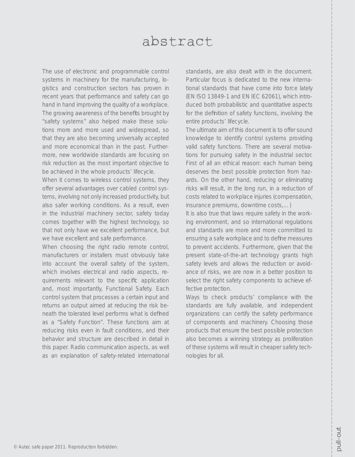# abstract

The use of electronic and programmable control systems in machinery for the manufacturing, logistics and construction sectors has proven in recent years that performance and safety can go hand in hand improving the quality of a workplace. The growing awareness of the benefits brought by "safety systems" also helped make these solutions more and more used and widespread, so that they are also becoming universally accepted and more economical than in the past. Furthermore, new worldwide standards are focusing on risk reduction as the most important objective to be achieved in the whole products' lifecycle.

When it comes to wireless control systems, they offer several advantages over cabled control systems, involving not only increased productivity, but also safer working conditions. As a result, even in the industrial machinery sector, safety today comes together with the highest technology, so that not only have we excellent performance, but we have excellent and safe performance.

When choosing the right radio remote control, manufacturers or installers must obviously take into account the overall safety of the system, which involves electrical and radio aspects, requirements relevant to the specific application and, most importantly, Functional Safety. Each control system that processes a certain input and returns an output aimed at reducing the risk beneath the tolerated level performs what is defined as a "Safety Function". These functions aim at reducing risks even in fault conditions, and their behavior and structure are described in detail in this paper. Radio communication aspects, as well as an explanation of safety-related international standards, are also dealt with in the document. Particular focus is dedicated to the new international standards that have come into force lately (EN ISO 13849-1 and EN IEC 62061), which introduced both probabilistic and quantitative aspects for the definition of safety functions, involving the entire products' lifecycle.

The ultimate aim of this document is to offer sound knowledge to identify control systems providing valid safety functions. There are several motivations for pursuing safety in the industrial sector. First of all an ethical reason: each human being deserves the best possible protection from hazards. On the other hand, reducing or eliminating risks will result, in the long run, in a reduction of costs related to workplace injuries (compensation, insurance premiums, downtime costs,…)

It is also true that laws require safety in the working environment, and so international regulations and standards are more and more committed to ensuring a safe workplace and to define measures to prevent accidents. Furthermore, given that the present state-of-the-art technology grants high safety levels and allows the reduction or avoidance of risks, we are now in a better position to select the right safety components to achieve effective protection.

Ways to check products' compliance with the standards are fully available, and independent organizations can certify the safety performance of components and machinery. Choosing those products that ensure the best possible protection also becomes a winning strategy as proliferation of these systems will result in cheaper safety technologies for all.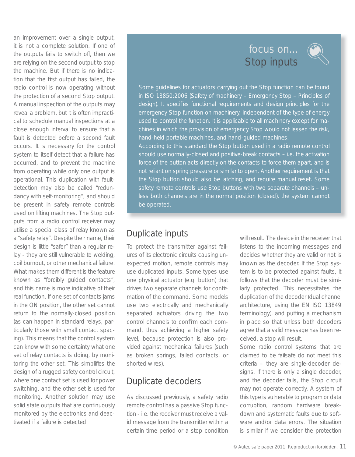an improvement over a single output, it is not a complete solution. If one of the outputs fails to switch off, then we are relying on the second output to stop the machine. But if there is no indication that the first output has failed, the radio control is now operating without the protection of a second Stop output. A manual inspection of the outputs may reveal a problem, but it is often impractical to schedule manual inspections at a close enough interval to ensure that a fault is detected before a second fault occurs. It is necessary for the control system to itself detect that a failure has occurred, and to prevent the machine from operating while only one output is operational. This duplication with faultdetection may also be called "redundancy with self-monitoring", and should be present in safety remote controls used on lifting machines. The Stop outputs from a radio control receiver may utilise a special class of relay known as a "safety relay". Despite their name, their design is little "safer" than a regular relay - they are still vulnerable to welding, coil burnout, or other mechanical failure. What makes them different is the feature known as "forcibly guided contacts", and this name is more indicative of their real function. If one set of contacts jams in the ON position, the other set cannot return to the normally-closed position (as can happen in standard relays, particularly those with small contact spacing). This means that the control system can know with some certainty what one set of relay contacts is doing, by monitoring the other set. This simplifies the design of a rugged safety control circuit, where one contact set is used for power switching, and the other set is used for monitoring. Another solution may use solid state outputs that are continuously monitored by the electronics and deactivated if a failure is detected.

# focus on... ( Stop inputs



Some guidelines for actuators carrying out the Stop function can be found in ISO 13850:2006 (Safety of machinery – Emergency Stop – Principles of design). It specifies functional requirements and design principles for the emergency Stop function on machinery, independent of the type of energy used to control the function. It is applicable to all machinery except for machines in which the provision of emergency Stop would not lessen the risk, hand-held portable machines, and hand-guided machines. According to this standard the Stop button used in a radio remote control should use normally-closed and positive-break contacts – i.e. the activation force of the button acts directly on the contacts to force them apart, and is not reliant on spring pressure or similar to open. Another requirement is that the Stop button should also be latching, and require manual reset. Some safety remote controls use Stop buttons with two separate channels – unless both channels are in the normal position (closed), the system cannot be operated.

# Duplicate inputs

To protect the transmitter against failures of its electronic circuits causing unexpected motion, remote controls may use duplicated inputs. Some types use one physical actuator (e.g. button) that drives two separate channels for confirmation of the command. Some models use two electrically and mechanically separated actuators driving the two control channels to confirm each command, thus achieving a higher safety level, because protection is also provided against mechanical failures (such as broken springs, failed contacts, or shorted wires).

# Duplicate decoders

As discussed previously, a safety radio remote control has a passive Stop function - i.e. the receiver must receive a valid message from the transmitter within a certain time period or a stop condition will result. The device in the receiver that listens to the incoming messages and decides whether they are valid or not is known as the decoder. If the Stop system is to be protected against faults, it follows that the decoder must be similarly protected. This necessitates the duplication of the decoder (dual channel architecture, using the EN ISO 13849 terminology), and putting a mechanism in place so that unless both decoders agree that a valid message has been received, a stop will result.

Some radio control systems that are claimed to be failsafe do not meet this criteria – they are single-decoder designs. If there is only a single decoder, and the decoder fails, the Stop circuit may not operate correctly. A system of this type is vulnerable to program or data corruption, random hardware breakdown and systematic faults due to software and/or data errors. The situation is similar if we consider the protection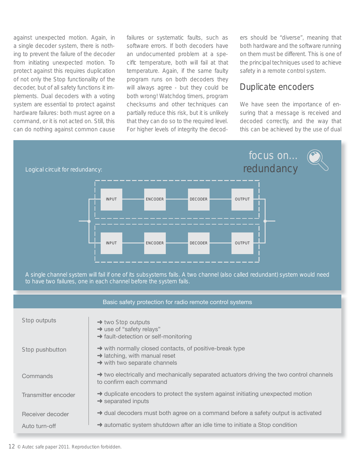against unexpected motion. Again, in a single decoder system, there is nothing to prevent the failure of the decoder from initiating unexpected motion. To protect against this requires duplication of not only the Stop functionality of the decoder, but of all safety functions it implements. Dual decoders with a voting system are essential to protect against hardware failures: both must agree on a command, or it is not acted on. Still, this can do nothing against common cause failures or systematic faults, such as software errors. If both decoders have an undocumented problem at a specific temperature, both will fail at that temperature. Again, if the same faulty program runs on both decoders they will always agree - but they could be both wrong! Watchdog timers, program checksums and other techniques can partially reduce this risk, but it is unlikely that they can do so to the required level. For higher levels of integrity the decoders should be "diverse", meaning that both hardware and the software running on them must be different. This is one of the principal techniques used to achieve safety in a remote control system.

## Duplicate encoders

We have seen the importance of ensuring that a message is received and decoded correctly, and the way that this can be achieved by the use of dual



A single channel system will fail if one of its subsystems fails. A two channel (also called redundant) system would need to have two failures, one in each channel before the system fails.

| Basic safety protection for radio remote control systems |                                                                                                                                                              |  |
|----------------------------------------------------------|--------------------------------------------------------------------------------------------------------------------------------------------------------------|--|
| Stop outputs                                             | $\rightarrow$ two Stop outputs<br>$\rightarrow$ use of "safety relays"                                                                                       |  |
|                                                          | $\rightarrow$ fault-detection or self-monitoring                                                                                                             |  |
| Stop pushbutton                                          | $\rightarrow$ with normally closed contacts, of positive-break type<br>$\rightarrow$ latching, with manual reset<br>$\rightarrow$ with two separate channels |  |
| Commands                                                 | $\rightarrow$ two electrically and mechanically separated actuators driving the two control channels<br>to confirm each command                              |  |
| Transmitter encoder                                      | $\rightarrow$ duplicate encoders to protect the system against initiating unexpected motion<br>$\rightarrow$ separated inputs                                |  |
| Receiver decoder                                         | $\rightarrow$ dual decoders must both agree on a command before a safety output is activated                                                                 |  |
| Auto turn-off                                            | $\rightarrow$ automatic system shutdown after an idle time to initiate a Stop condition                                                                      |  |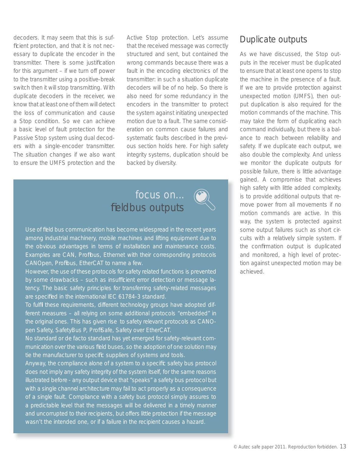decoders. It may seem that this is sufficient protection, and that it is not necessary to duplicate the encoder in the transmitter. There is some justification for this argument – if we turn off power to the transmitter using a positive-break switch then it will stop transmitting. With duplicate decoders in the receiver, we know that at least one of them will detect the loss of communication and cause a Stop condition. So we can achieve a basic level of fault protection for the Passive Stop system using dual decoders with a single-encoder transmitter. The situation changes if we also want to ensure the UMFS protection and the

Active Stop protection. Let's assume that the received message was correctly structured and sent, but contained the wrong commands because there was a fault in the encoding electronics of the transmitter: in such a situation duplicate decoders will be of no help. So there is also need for some redundancy in the encoders in the transmitter to protect the system against initiating unexpected motion due to a fault. The same consideration on common cause failures and systematic faults described in the previous section holds here. For high safety integrity systems, duplication should be backed by diversity.

# focus on... fieldbus outputs



Use of field bus communication has become widespread in the recent years among industrial machinery, mobile machines and lifting equipment due to the obvious advantages in terms of installation and maintenance costs. Examples are CAN, Profibus, Ethernet with their corresponding protocols CANOpen, Profibus, EtherCAT to name a few.

However, the use of these protocols for safety related functions is prevented by some drawbacks - such as insufficient error detection or message latency. The basic safety principles for transferring safety-related messages are specified in the international IEC 61784-3 standard.

To fulfil these requirements, different technology groups have adopted different measures – all relying on some additional protocols "embedded" in the original ones. This has given rise to safety relevant protocols as CANOpen Safety, SafetyBus P, ProfiSafe, Safety over EtherCAT.

No standard or *de facto* standard has yet emerged for safety-relevant communication over the various field buses, so the adoption of one solution may tie the manufacturer to specific suppliers of systems and tools.

Anyway, the compliance alone of a system to a specific safety bus protocol does not imply any safety integrity of the system itself, for the same reasons illustrated before - any output device that "speaks" a safety bus protocol but with a single channel architecture may fail to act properly as a consequence of a single fault. Compliance with a safety bus protocol simply assures to a predictable level that the messages will be delivered in a timely manner and uncorrupted to their recipients, but offers little protection if the message wasn't the intended one, or if a failure in the recipient causes a hazard.

## Duplicate outputs

As we have discussed, the Stop outputs in the receiver must be duplicated to ensure that at least one opens to stop the machine in the presence of a fault. If we are to provide protection against unexpected motion (UMFS), then output duplication is also required for the motion commands of the machine. This may take the form of duplicating each command individually, but there is a balance to reach between reliability and safety. If we duplicate each output, we also double the complexity. And unless we monitor the duplicate outputs for possible failure, there is little advantage gained. A compromise that achieves high safety with little added complexity, is to provide additional outputs that remove power from all movements if no motion commands are active. In this way, the system is protected against some output failures such as short circuits with a relatively simple system. If the confirmation output is duplicated and monitored, a high level of protection against unexpected motion may be achieved.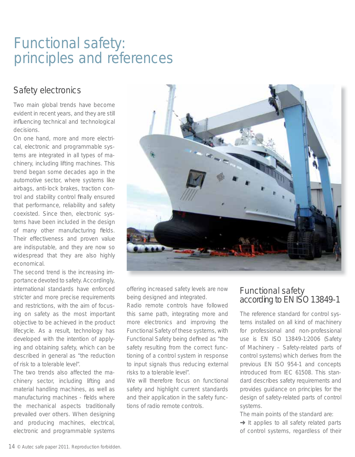# Functional safety: principles and references

# Safety electronics

Two main global trends have become evident in recent years, and they are still influencing technical and technological decisions.

On one hand, more and more electrical, electronic and programmable systems are integrated in all types of machinery, including lifting machines. This trend began some decades ago in the automotive sector, where systems like airbags, anti-lock brakes, traction control and stability control finally ensured that performance, reliability and safety coexisted. Since then, electronic systems have been included in the design of many other manufacturing fields. Their effectiveness and proven value are indisputable, and they are now so widespread that they are also highly economical.

The second trend is the increasing importance devoted to safety. Accordingly, international standards have enforced stricter and more precise requirements and restrictions, with the aim of focusing on safety as the most important objective to be achieved in the product lifecycle. As a result, technology has developed with the intention of applying and obtaining safety, which can be described in general as "the reduction of risk to a tolerable level".

The two trends also affected the machinery sector, including lifting and material handling machines, as well as manufacturing machines - fields where the mechanical aspects traditionally prevailed over others. When designing and producing machines, electrical, electronic and programmable systems



offering increased safety levels are now being designed and integrated.

Radio remote controls have followed this same path, integrating more and more electronics and improving the *Functional Safety* of these systems, with Functional Safety being defined as "the safety resulting from the correct functioning of a control system in response to input signals thus reducing external risks to a tolerable level".

We will therefore focus on functional safety and highlight current standards and their application in the safety functions of radio remote controls.

## Functional safety according to EN ISO 13849-1

The reference standard for control systems installed on all kind of machinery for professional and non-professional use is EN ISO 13849-1:2006 (Safety of Machinery – Safety-related parts of control systems) which derives from the previous EN ISO 954-1 and concepts introduced from IEC 61508. This standard describes safety requirements and provides guidance on principles for the design of safety-related parts of control systems.

The main points of the standard are:

**→ It applies to all safety related parts** of control systems, regardless of their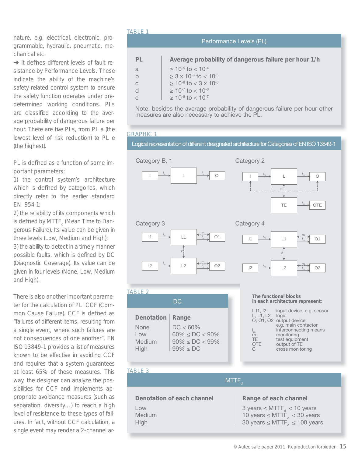nature, e.g. electrical, electronic, programmable, hydraulic, pneumatic, mechanical etc.

 $\rightarrow$  It defines different levels of fault resistance by Performance Levels. These indicate the ability of the machine's safety-related control system to ensure the safety function operates under predetermined working conditions. PLs are classified according to the average probability of dangerous failure per hour. There are five PLs, from PL a (the lowest level of risk reduction) to PL e (the highest).

PL is defined as a function of some important parameters:

1) the control system's architecture which is defined by categories, which directly refer to the earlier standard EN 954-1;

2) the reliability of its components which is defined by MTTF<sub>d</sub> (Mean Time to Dangerous Failure). Its value can be given in three levels (Low, Medium and High); 3) the ability to detect in a timely manner possible faults, which is defined by DC (Diagnostic Coverage). Its value can be given in four levels (None, Low, Medium and High).

There is also another important parameter for the calculation of PL: CCF (Common Cause Failure). CCF is defined as "failures of different items, resulting from a single event, where such failures are not consequences of one another". EN ISO 13849-1 provides a list of measures known to be effective in avoiding CCF and requires that a system guarantees at least 65% of these measures. This way, the designer can analyze the possibilities for CCF and implements appropriate avoidance measures (such as separation, diversity...) to reach a high level of resistance to these types of failures. In fact, without CCF calculation, a single event may render a 2-channel ar-

#### TARI F 1

| Performance Levels (PL) |                                                                                                                                                                                             |  |  |
|-------------------------|---------------------------------------------------------------------------------------------------------------------------------------------------------------------------------------------|--|--|
| PL<br>a<br>C            | Average probability of dangerous failure per hour 1/h<br>$\geq 10^{-5}$ to $< 10^{-4}$<br>$\geq$ 3 x 10 <sup>-6</sup> to $<$ 10 <sup>-5</sup><br>$\geq 10^{-6}$ to $<$ 3 x 10 <sup>-6</sup> |  |  |
|                         | $\geq 10^{-7}$ to $< 10^{-6}$<br>$\geq 10^{-8}$ to $< 10^{-7}$                                                                                                                              |  |  |

Note: besides the average probability of dangerous failure per hour other measures are also necessary to achieve the PL.

#### GRAPHIC 1

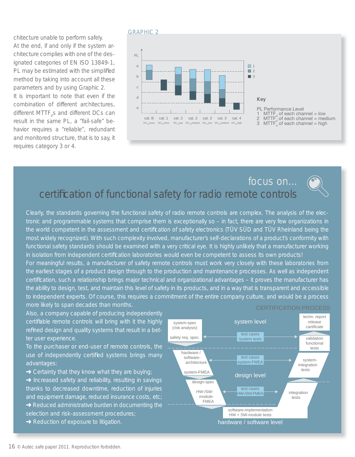chitecture unable to perform safely. At the end, if and only if the system architecture complies with one of the designated categories of EN ISO 13849-1, PL may be estimated with the simplified method by taking into account all these parameters and by using Graphic 2. It is important to note that even if the combination of different architectures, different MTTF<sub>a</sub>s and different DCs can result in the same PL, a "fail-safe" behavior requires a "reliable", redundant and monitored structure, that is to say, it requires category 3 or 4.

#### GRAPHIC 2



| Key                                                             |
|-----------------------------------------------------------------|
| <b>PL Performance Level</b>                                     |
|                                                                 |
| 1 MTTF of each channel = low<br>2 MTTF of each channel = medium |
|                                                                 |

3  $M T T F_d^3$  of each channel = high

# focus on... certification of functional safety for radio remote controls

Clearly, the standards governing the functional safety of radio remote controls are complex. The analysis of the electronic and programmable systems that comprise them is exceptionally so – in fact, there are very few organizations in the world competent in the assessment and certification of safety electronics (TÜV SÜD and TÜV Rheinland being the most widely recognized). With such complexity involved, manufacturer's self-declarations of a product's conformity with functional safety standards should be examined with a very critical eye. It is highly unlikely that a manufacturer working in isolation from independent certification laboratories would even be competent to assess its own products!

For meaningful results, a manufacturer of safety remote controls must work very closely with these laboratories from the earliest stages of a product design through to the production and maintenance processes. As well as independent certification, such a relationship brings major technical and organizational advantages – it proves the manufacturer has the ability to design, test, and maintain this level of safety in its products, and in a way that is transparent and accessible to independent experts. Of course, this requires a commitment of the entire company culture, and would be a process more likely to span decades than months.

Also, a company capable of producing independently certifiable remote controls will bring with it the highly refined design and quality systems that result in a better user experience.

To the purchaser or end-user of remote controls, the use of independently certified systems brings many advantages:

- $\rightarrow$  Certainty that they know what they are buying;
- $\rightarrow$  Increased safety and reliability, resulting in savings thanks to decreased downtime, reduction of injuries and equipment damage, reduced insurance costs, etc;
- $\rightarrow$  Reduced administrative burden in documenting the selection and risk-assessment procedures;
- **→ Reduction of exposure to litigation.**



#### CERTIFICATION PROCESS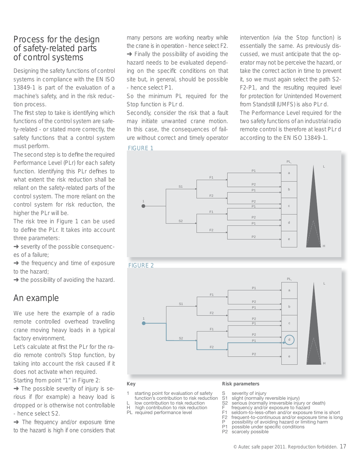# Process for the design of safety-related parts of control systems

Designing the safety functions of control systems in compliance with the EN ISO 13849-1 is part of the evaluation of a machine's safety, and in the risk reduction process.

The first step to take is identifying which functions of the control system are safety-related - or stated more correctly, the safety functions that a control system must perform.

The second step is to define the required Performance Level (PLr) for each safety function. Identifying this PLr defines to what extent the risk reduction shall be reliant on the safety-related parts of the control system. The more reliant on the control system for risk reduction, the higher the PLr will be.

The risk tree in Figure 1 can be used to define the PLr. It takes into account three parameters:

**→** severity of the possible consequences of a failure;

 $\rightarrow$  the frequency and time of exposure to the hazard;

 $\rightarrow$  the possibility of avoiding the hazard.

## An example

We use here the example of a radio remote controlled overhead travelling crane moving heavy loads in a typical factory environment.

Let's calculate at first the PLr for the radio remote control's Stop function, by taking into account the risk caused if it does not activate when required. Starting from point "1" in Figure 2:

 $\rightarrow$  The possible severity of injury is serious if (for example) a heavy load is dropped or is otherwise not controllable - hence select S2.

**→** The frequency and/or exposure time to the hazard is high if one considers that

many persons are working nearby while the crane is in operation - hence select F2.  $\rightarrow$  Finally the possibility of avoiding the hazard needs to be evaluated depending on the specific conditions on that site but, in general, should be possible - hence select P1.

So the minimum PL required for the Stop function is PLr d.

Secondly, consider the risk that a fault may initiate unwanted crane motion. In this case, the consequences of failure without correct and timely operator

intervention (via the Stop function) is essentially the same. As previously discussed, we must anticipate that the operator may not be perceive the hazard, or take the correct action in time to prevent it, so we must again select the path S2- F2-P1, and the resulting required level for protection for Unintended Movement from Standstill (UMFS) is also PLr d. The Performance Level required for the two safety functions of an industrial radio remote control is therefore at least PLr d according to the EN ISO 13849-1.

#### S1 S2 1 F1 F2 F1 F2 P1 P2 P1 P2 P1 P2 P1 P2 a b c d e PL L H FIGURE 1





#### **Key**

- 1 starting point for evaluation of safety function's contribution to risk reduction
- L low contribution to risk reduction
- high contribution to risk reduction

#### PL required performance level

### **Risk parameters**

- S severity of injury
- S1 slight (normally reversible injury)
- S2 serious (normally irreversible injury or death)
- $F = \frac{f}{2}$  frequency and/or exposure to hazard
- F1 seldom-to-less-often and/or exposure time is short
- F2 frequent-to-continuous and/or exposure time is long<br>P possibility of avoiding hazard or limiting harm P possibility of avoiding hazard or limiting harm<br>P1 possible under specific conditions
- possible under specific conditions
- P2 scarcely possible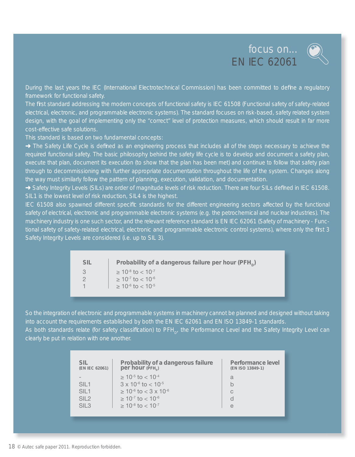# focus on... EN IEC 62061



During the last years the IEC (International Electrotechnical Commission) has been committed to define a regulatory framework for functional safety.

The first standard addressing the modern concepts of functional safety is IEC 61508 (Functional safety of safety-related electrical, electronic, and programmable electronic systems). The standard focuses on risk-based, safety related system design, with the goal of implementing only the "correct" level of protection measures, which should result in far more cost-effective safe solutions.

This standard is based on two fundamental concepts:

→ The Safety Life Cycle is defined as an engineering process that includes all of the steps necessary to achieve the required functional safety. The basic philosophy behind the safety life cycle is to develop and document a safety plan, execute that plan, document its execution (to show that the plan has been met) and continue to follow that safety plan through to decommissioning with further appropriate documentation throughout the life of the system. Changes along the way must similarly follow the pattern of planning, execution, validation, and documentation.

→ Safety Integrity Levels (SILs) are order of magnitude levels of risk reduction. There are four SILs defined in IEC 61508. SIL1 is the lowest level of risk reduction, SIL4 is the highest.

IEC 61508 also spawned different specific standards for the different engineering sectors affected by the functional safety of electrical, electronic and programmable electronic systems (e.g. the petrochemical and nuclear industries). The machinery industry is one such sector, and the relevant reference standard is EN IEC 62061 (Safety of machinery - Functional safety of safety-related electrical, electronic and programmable electronic control systems), where only the first 3 Safety Integrity Levels are considered (i.e. up to SIL 3).

| <b>SIL</b> | Probability of a dangerous failure per hour (PFH <sub>n</sub> ) |
|------------|-----------------------------------------------------------------|
| 3          | $> 10^{-8}$ to $< 10^{-7}$                                      |
|            | $\geq 10^{-7}$ to $< 10^{-6}$                                   |
|            | $\geq 10^{-6}$ to $< 10^{-5}$                                   |

So the integration of electronic and programmable systems in machinery cannot be planned and designed without taking into account the requirements established by both the EN IEC 62061 and EN ISO 13849-1 standards. As both standards relate (for safety classification) to PFH<sub>N</sub>, the Performance Level and the Safety Integrity Level can clearly be put in relation with one another.

| <b>SIL</b><br>(EN IEC 62061)                                     | Probability of a dangerous failure<br>per hour (PFH)                                                                                                                            | Performance level<br>(EN ISO 13849-1) |
|------------------------------------------------------------------|---------------------------------------------------------------------------------------------------------------------------------------------------------------------------------|---------------------------------------|
| SIL <sub>1</sub><br>SIL <sub>1</sub><br>SIL2<br>SIL <sub>3</sub> | $\geq 10^{-5}$ to $< 10^{-4}$<br>$3 \times 10^{-6}$ to $< 10^{-5}$<br>$\geq 10^{-6}$ to $<$ 3 x 10 <sup>-6</sup><br>$\geq 10^{-7}$ to $< 10^{-6}$<br>$> 10^{-8}$ to $< 10^{-7}$ | a<br>b<br>C<br>d<br>e                 |
|                                                                  |                                                                                                                                                                                 |                                       |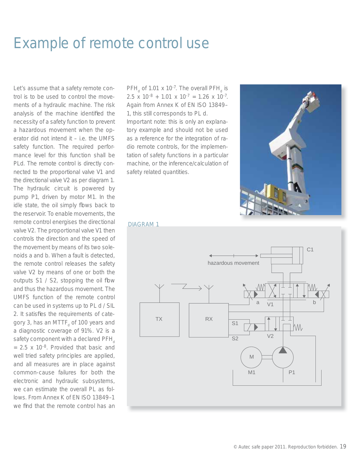# Example of remote control use

Let's assume that a safety remote control is to be used to control the movements of a hydraulic machine. The risk analysis of the machine identified the necessity of a safety function to prevent a hazardous movement when the operator did not intend it – i.e. the UMFS safety function. The required performance level for this function shall be PLd. The remote control is directly connected to the proportional valve V1 and the directional valve V2 as per diagram 1. The hydraulic circuit is powered by pump P1, driven by motor M1. In the idle state, the oil simply flows back to the reservoir. To enable movements, the remote control energises the directional valve V2. The proportional valve V1 then controls the direction and the speed of the movement by means of its two solenoids a and b. When a fault is detected, the remote control releases the safety valve V2 by means of one or both the outputs  $S1 / S2$ , stopping the oil flow and thus the hazardous movement. The UMFS function of the remote control can be used in systems up to PL d / SIL 2. It satisfies the requirements of category 3, has an MTTF<sub>d</sub> of 100 years and a diagnostic coverage of 91%. V2 is a safety component with a declared  $PFH_{d}$  $= 2.5$  x 10<sup>-8</sup>. Provided that basic and well tried safety principles are applied, and all measures are in place against common-cause failures for both the electronic and hydraulic subsystems, we can estimate the overall PL as follows. From Annex K of EN ISO 13849–1 we find that the remote control has an

 $PFH<sub>d</sub>$  of 1.01 x 10<sup>-7</sup>. The overall PFH<sub>d</sub> is 2.5 x  $10^{-8}$  + 1.01 x  $10^{-7}$  = 1.26 x  $10^{-7}$ . Again from Annex K of EN ISO 13849– 1, this still corresponds to PL d. Important note: this is only an explanatory example and should not be used as a reference for the integration of radio remote controls, for the implementation of safety functions in a particular machine, or the inference/calculation of safety related quantities.



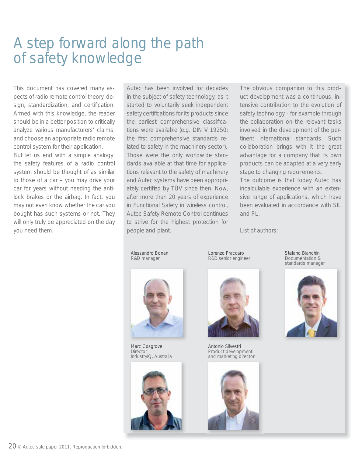# A step forward along the path of safety knowledge

This document has covered many aspects of radio remote control theory, design, standardization, and certification. Armed with this knowledge, the reader should be in a better position to critically analyze various manufacturers' claims, and choose an appropriate radio remote control system for their application.

But let us end with a simple analogy: the safety features of a radio control system should be thought of as similar to those of a car – you may drive your car for years without needing the antilock brakes or the airbag. In fact, you may not even know whether the car you bought has such systems or not. They will only truly be appreciated on the day you need them.

Autec has been involved for decades in the subject of safety technology, as it started to voluntarily seek independent safety certifications for its products since the earliest comprehensive classifications were available (e.g. DIN V 19250: the first comprehensive standards related to safety in the machinery sector). Those were the only worldwide standards available at that time for applications relevant to the safety of machinery and Autec systems have been appropriately certified by TÜV since then. Now, after more than 20 years of experience in Functional Safety in wireless control, Autec Safety Remote Control continues to strive for the highest protection for people and plant.

The obvious companion to this product development was a continuous, intensive contribution to the evolution of safety technology - for example through the collaboration on the relevant tasks involved in the development of the pertinent international standards. Such collaboration brings with it the great advantage for a company that its own products can be adapted at a very early stage to changing requirements.

The outcome is that today Autec has incalculable experience with an extensive range of applications, which have been evaluated in accordance with SIL and PL.

List of authors:

Alessandro Bonan R&D manager



Marc Cosgrove **Director** IndustryIQ, Australia







Antonio Silvestri Product development and marketing director



Stefano Bianchin Documentation & standards manager